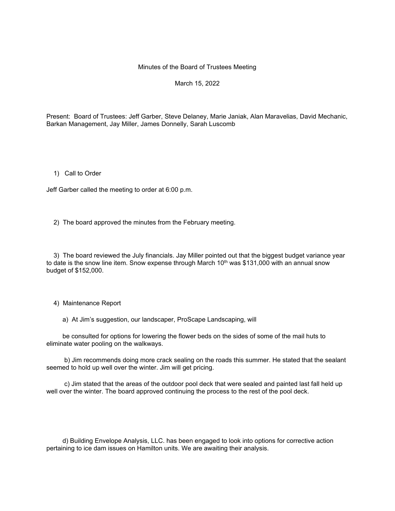#### Minutes of the Board of Trustees Meeting

## March 15, 2022

Present: Board of Trustees: Jeff Garber, Steve Delaney, Marie Janiak, Alan Maravelias, David Mechanic, Barkan Management, Jay Miller, James Donnelly, Sarah Luscomb

1) Call to Order

Jeff Garber called the meeting to order at 6:00 p.m.

2) The board approved the minutes from the February meeting.

 3) The board reviewed the July financials. Jay Miller pointed out that the biggest budget variance year to date is the snow line item. Snow expense through March  $10<sup>th</sup>$  was \$131,000 with an annual snow budget of \$152,000.

4) Maintenance Report

a) At Jim's suggestion, our landscaper, ProScape Landscaping, will

 be consulted for options for lowering the flower beds on the sides of some of the mail huts to eliminate water pooling on the walkways.

 b) Jim recommends doing more crack sealing on the roads this summer. He stated that the sealant seemed to hold up well over the winter. Jim will get pricing.

 c) Jim stated that the areas of the outdoor pool deck that were sealed and painted last fall held up well over the winter. The board approved continuing the process to the rest of the pool deck.

 d) Building Envelope Analysis, LLC. has been engaged to look into options for corrective action pertaining to ice dam issues on Hamilton units. We are awaiting their analysis.